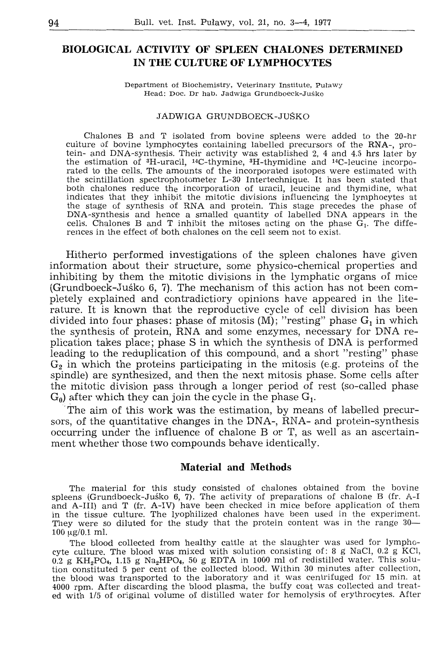# **BIOLOGICAL ACTIVITY OF SPLEEN CHALONES DETERMINED IN THE CULTURE OF LYMPHOCYTES**

Department of Biochemistry, Veterinary Institute, Puławy Head: Doc. Dr hab. Jadwiga Grundboeck-Juśko

#### JADWIGA GRUNDBOECK-JUSKO

Chalones B and T isolated from bovine spleens were added to the 20-hr culture of bovine lymphocytes containing labelled precursors of the RNA-, protein- and DNA-synthesis. Their activity was established 2, 4 and 4.5 hrs later by the estimation of 3H-uracil, 14C-thymine, 3H-thymidine and 14C-leucine incorporated to the cells. The amounts of the incorporated isotopes were estimated with the scintillation spectrophotometer L-30 Intertechnique. It has been stated that both chalones reduce the incorporation of uracil, leucine and thymidine, what indicates that they inhibit the mitotic divisions influencing the lymphocytes at the stage of synthesis of RNA and protein. This stage precedes the phase of DNA-synthesis and hence a smalled quantity of labelled DNA appears in the cells. Chalones B and T inhibit the mitoses acting on the phase  $G_1$ . The differences in the effect of both chalones on the cell seem not to exist.

Hitherto performed investigations of the spleen chalones have given information about their structure, some physico-chemical properties and inhibiting by them the mitotic divisions in the lymphatic organs of mice (Grundboeck-Juśko 6, 7). The mechanism of this action has not been completely explained and contradictiory opinions have appeared in the literature. It is known that the reproductive cycle of cell division has been divided into four phases: phase of mitosis  $(M)$ ; "resting" phase  $G_1$  in which the synthesis of protein, RNA and some enzymes, necessary for DNA replication takes place; phase S in which the synthesis of DNA is performed leading to the reduplication of this compound, and a short "resting" phase  $G<sub>2</sub>$  in which the proteins participating in the mitosis (e.g. proteins of the spindle) are synthesized, and then the next mitosis phase. Some cells after the mitotic division pass through a longer period of rest (so-called phase  $G<sub>0</sub>$ ) after which they can join the cycle in the phase  $G<sub>1</sub>$ .

The aim of this work was the estimation, by means of labelled precursors, of the quantitative changes in the DNA-, RNA- and protein-synthesis occurring under the influence of chalone B or T, as well as an ascertainment whether those two compounds behave identically.

## Materiał **and Methods**

The materiał for this study consisted of chalones obtained from the bovine spleens (Grundboeck-Juśko 6, 7). The activity of preparations of chalone B (fr. A-I and **A-III)** and T (fr. **A-IV)** have been checked in mice before application of them in the tissue culture. The lyophilized chalones have been used in the experiment. They were so diluted for the study that the protein content was in the range 30-  $100 \text{ µg}/0.1 \text{ ml}.$ 

The blood collected from healthy cattle at the slaughter was used for lymphocyte culture. The blood was mixed with solution consisting of: 8 g NaCl,  $0.2$  g KCl,  $0.2$  g KH<sub>2</sub>PO<sub>4</sub>, 1.15 g Na<sub>2</sub>HPO<sub>4</sub>, 50 g EDTA in 1000 ml of redistilled water. This solu- $0.2$  g KH<sub>2</sub>PO<sub>4</sub>, 1.15 g Na<sub>2</sub>HPO<sub>4</sub>, 50 g EDTA in 1000 ml of redistilled water. This solution constituted 5 per cent of the collected blood. Within 30 minutes after collection, the blood was transported to the laboratory and it was centrifuged for 15 min. at 4000 rpm. After discarding the blood piasma, the buffy coat was collected and treated with 1/5 of original volume of distilled water for hemolysis of erythrocytes. After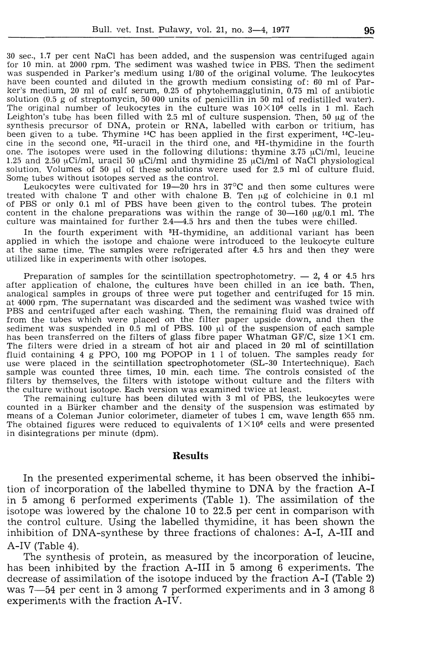30 sec., 1.7 per cent NaCl has been added, and the suspension was centrifuged again for 10 min. at 2000 rpm. The sediment was washed twice in PBS. Then the sediment was suspended in Parker's medium using  $1/80$  of the original volume. The leukocytes have been counted and diluted in the growth medium consisting of: 60 ml of Parker's medium, 20 ml of calf serum, 0.25 of phytohemagglutinin,  $\overline{0.75}$  ml of antibiotic solution (0.5 g of streptomycin, 50 000 units of penicillin in 50 ml of redistilled water). The original number of leukocytes in the culture was  $10 \times 10^6$  cells in 1 ml. Each Leighton's tube has been filled with 2.5 ml of culture suspension. Then, 50 µg of the synthesis precursor of DNA, protein or RNA, labelled with carbon or tritium, has been given to a tube. Thymine 14C has been applied in the first experiment, 14C-leucine in the second one,  ${}^{3}H$ -uracil in the third one, and  ${}^{3}H$ -thymidine in the fourth one. The isotopes were used in the following dilutions: thymine 3.75  $\mu$ Ci/ml, leucine 1.25 and 2.50  $\mu$ Ci/ml, uracil 50  $\mu$ Ci/ml and thymidine 25  $\mu$ Ci/ml of NaCl physiological solution. Volumes of 50 µl of these solutions were used for 2.5 ml of culture fluid. Some tubes without isotopes served as the control.

Leukocytes were cultivated for  $19-20$  hrs in  $37^{\circ}\text{C}$  and then some cultures were treated with chalone T and other with chalone B. Ten µg of colchicine in 0.1 ml of PBS or only 0.1 ml of PBS have been given to the control tubes. The protein content in the chalone preparations was within the range of  $30-160 \text{ µg}/0.1 \text{ ml}$ . The culture was maintained for further 2.4-4.5 hrs and then the tubes were chilled.

In the fourth experiment with 3H-thymidine, an additional variant has been applied in which the isotope and chalone were introduced to the leukocyte culture at the same time. The samples were refrigerated after 4.5 hrs and then they were utilized like in experiments with other isotopes.

Preparation of samples for the scintillation spectrophotometry.  $-2$ , 4 or 4.5 hrs after application of chalone, the cultures have been chilled in an ice bath. Then, analogical samples in groups of three were put together and centrifuged for 15 min. at 4000 rpm. The supernatant was discarded and the sediment was washed twice with PBS and centrifuged after each washing. Then, the remaining fluid was drained off from the tubes which were placed on the filter paper upside down, and then the sediment was suspended in  $0.5$  ml of PBS.  $100 \mu l$  of the suspension of each sample has been transferred on the filters of glass fibre paper Whatman GF/C, size  $1 \times 1$  cm. The filters were dried in a stream of hot air and placed in 20 **ml** of scirrtillation fluid containing 4 g PPO, 100 mg POPOP in 1 1 of toluen. The samples ready for use were placed in the scintillation spectrophotometer (SL-30 Intertechnique). Each sample was counted three times, 10 min. each time. The controls consisted of the filters by themselves, the filters with istotope without culture and the filters with

The remaining culture has been diluted with 3 ml of PBS, the leukocytes were counted in a Biirker chamber and the density of the suspension was estimated by means of a Coleman Junior colorimeter, diameter of tubes 1 cm, wave length 655 nm. The obtained figures were reduced to equivalents of  $1 \times 10^6$  cells and were presented in disintegrations per minute (dpm).

# **Results**

In the presented experimental scheme, it has been observed the inhibition of incorporation of the labelled thymine to DNA by the fraction A-I in 5 among 6 performed experiments (Table 1). The assimilation of the isotope was lowered by the chalone 10 to 22.5 per cent in comparison with the control culture. Using the labelled thymidine, it has been shown the inhibition of DNA-synthese by three fractions of chalones: A-I, A-III and A-IV (Table 4).

The synthesis of protein, as measured by the incorporation of leucine, has been inhibited by the fraction A-III in 5 among 6 experiments. The decrease of assimilation of the isotope induced by the fraction A-I (Table 2) was 7-54 per cent in 3 among 7 performed experiments and in 3 among 8 experiments with the fraction A-IV.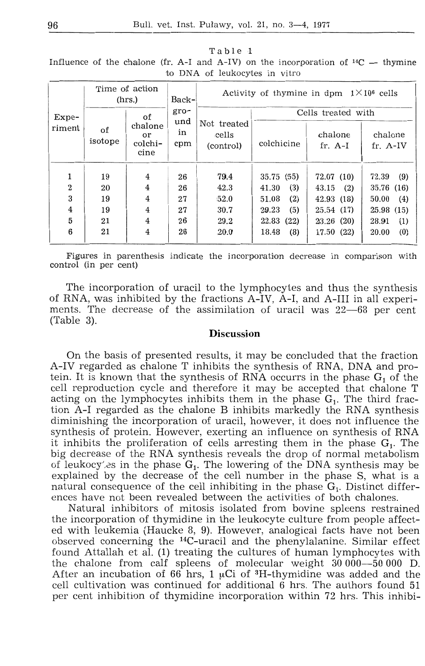|                   |               | Time of action<br>(hrs.)         | Back-            | Activity of thymine in dpm $1 \times 10^6$ cells |                    |                      |                     |  |  |  |
|-------------------|---------------|----------------------------------|------------------|--------------------------------------------------|--------------------|----------------------|---------------------|--|--|--|
| $Expe-$<br>riment |               | of                               | $gro-$           |                                                  | Cells treated with |                      |                     |  |  |  |
|                   | of<br>isotope | chalone<br>or<br>colchi-<br>cine | und<br>in<br>cpm | Not treated<br>cells<br>(control)                | colchicine         | chalone<br>$fr. A-I$ | chalone<br>fr. A-IV |  |  |  |
|                   | 19            | $\overline{4}$                   | 26               | 79.4                                             | 35.75 (55)         | 72.07 (10)           | (9)<br>72.39        |  |  |  |
| $\overline{2}$    | 20            | $\overline{4}$                   | 26               | 42.3                                             | (3)<br>41.30       | 43.15<br>(2)         | 35.76 (16)          |  |  |  |
| 3                 | 19            | 4                                | 27               | 52.0                                             | (2)<br>51.08       | 42.93(18)            | (4)<br>50.00        |  |  |  |
| $\overline{4}$    | 19            | $\overline{4}$                   | 27               | 30.7                                             | (5)<br>29.23       | 25.54 (17)           | 25.98 (15)          |  |  |  |
| 5                 | 21            | $\overline{4}$                   | 26               | 29.2                                             | 22.83<br>(22)      | 23.26(20)            | (1)<br>28.91        |  |  |  |
| 6                 | 21            | $\overline{4}$                   | 26               | 20.0                                             | (8)<br>18.48       | 17.50 (22)           | (0)<br>20.00        |  |  |  |

Table 1 Influence of the chalone (fr. A-I and A-IV) on the incorporation of  $^{14}C$  - thymine to DNA of leukocytes in vitro

Figures in parenthesis indicate the incorporation decrease in comparison with control (in per cent)

The incorporation of uracil to the lymphocytes and thus the synthesis of RNA, was inhibited by the fractions A-IV, A-I, and A-III in all experiments. The decrease of the assimilation of uracil was 22-68 per cent  $(Table 3).$ 

# **Discussion**

On the basis of presented results, it may be concluded that the fraction A-IV regarded as chalone T inhibits the synthesis of RNA, DNA and protein. It is known that the synthesis of RNA occurrs in the phase  $G_1$  of the cell reproduction cycle and therefore it may be accepted that chalone T acting on the lymphocytes inhibits them in the phase  $G_1$ . The third fraction A-I regarded as the chalone B inhibits markedly the RNA synthesis diminishing the incorporation of uracil, however, it does not influence the synthesis of protein. However, exerting an influence on synthesis of RNA it inhibits the proliferation of cells arresting them in the phase  $G_1$ . The big decrease of the RNA synthesis reveals the drop of normal metabolism of leukocy's in the phase  $G_1$ . The lowering of the DNA synthesis may be explained by the decrease of the cell number in the phase S, what is a natural consequence of the cell inhibiting in the phase  $G_1$ . Distinct differences have not been revealed between the activities of both chalones.

Natural inhibitors of mitosis isolated from bovine spleens restrained the incorporation of thymidine in the leukocyte culture from people affected with leukemia (Haucke 8, 9). However, analogical facts have not been observed concerning the <sup>14</sup>C-uracil and the phenylalanine. Similar effect found Attallah et al. (1) treating the cultures of human lymphocytes with the chalone from calf spleens of molecular weight 30000-50000 D. After an incubation of 66 hrs, 1  $\mu$ Ci of <sup>3</sup>H-thymidine was added and the cell cultivation was continued for additional 6 hrs. The authors found 51 per cent inhibition of thymidine incorporation within 72 hrs. This inhibi-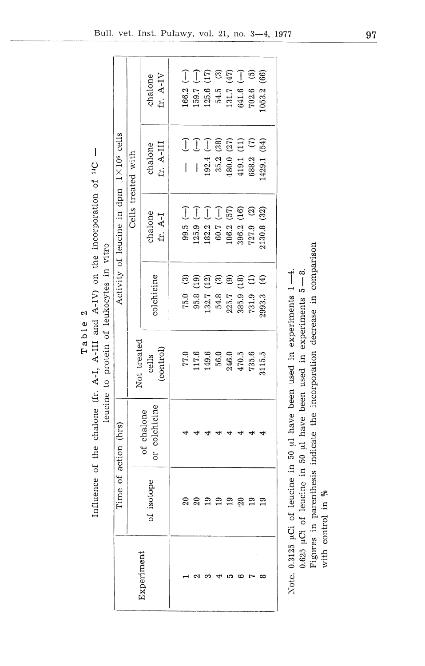|                               | 6n          |
|-------------------------------|-------------|
| Z                             | A-IV        |
| Φ<br>⊣<br>Q,<br><b>a</b><br>ы | and<br>III- |

 $\overline{\phantom{a}}$ the incorporation of <sup>14</sup>C leucine to protein of leukocytes in vitro ά dir Influence of the chalone (fr. A-I, A-III

|                                                  |                                   | fr. A-IV<br>chalone         | $166.2(-)$     |                        | $(-) 7.651$                                                                                                                                                                                                                                                                                                                                                                                                         | 125.6 (17)                       | 54.5 (3)   | 131.7 (47)                                                                  | $641.6$ (-)     | $702.6$ (5)            | (66)<br>.053.2          |
|--------------------------------------------------|-----------------------------------|-----------------------------|----------------|------------------------|---------------------------------------------------------------------------------------------------------------------------------------------------------------------------------------------------------------------------------------------------------------------------------------------------------------------------------------------------------------------------------------------------------------------|----------------------------------|------------|-----------------------------------------------------------------------------|-----------------|------------------------|-------------------------|
|                                                  | Cells treated with                | fr. A-III<br>chalone        | $\overline{1}$ | $\widehat{\mathbb{J}}$ | J<br>$\begin{array}{c} \rule{0pt}{2ex} \rule{0pt}{2ex} \rule{0pt}{2ex} \rule{0pt}{2ex} \rule{0pt}{2ex} \rule{0pt}{2ex} \rule{0pt}{2ex} \rule{0pt}{2ex} \rule{0pt}{2ex} \rule{0pt}{2ex} \rule{0pt}{2ex} \rule{0pt}{2ex} \rule{0pt}{2ex} \rule{0pt}{2ex} \rule{0pt}{2ex} \rule{0pt}{2ex} \rule{0pt}{2ex} \rule{0pt}{2ex} \rule{0pt}{2ex} \rule{0pt}{2ex} \rule{0pt}{2ex} \rule{0pt}{2ex} \rule{0pt}{2ex} \rule{0pt}{$ | $192.4 (-)$                      | 35.2(38)   | $\begin{array}{ll} 180.0 & (27) \\ 419.1 & (11) \\ 688.2 & (7) \end{array}$ |                 |                        | 429.1 (54)              |
| Activity of leucine in dpm $1 \times 10^6$ cells |                                   | chalone<br>fr. A-I          | $-19.5$        |                        | $125.9$ (-)                                                                                                                                                                                                                                                                                                                                                                                                         | $182.2$ (-)                      | $60.7 (-)$ | 106.2(57)                                                                   | (16)<br>396.2 0 | $\odot$<br>727.9       | (32)<br>2130.8          |
|                                                  |                                   | colchicine                  | 75.0(3)        |                        | 95.8(19)                                                                                                                                                                                                                                                                                                                                                                                                            | (12)<br>132.7                    | $54.8$ (3) | $\odot$<br>$225.7\,$                                                        | 385.9 (18)      | $\widehat{E}$<br>731.9 | $\widehat{f}$<br>2993.3 |
|                                                  | Not treated<br>(control)<br>cells |                             |                |                        |                                                                                                                                                                                                                                                                                                                                                                                                                     | $77.0$<br>117.6<br>149.6<br>56.0 |            | $246.0$<br>$470.5$<br>$735.6$                                               |                 |                        | 3115.5                  |
|                                                  |                                   | or colchicine<br>of chalone |                |                        |                                                                                                                                                                                                                                                                                                                                                                                                                     |                                  |            |                                                                             |                 |                        |                         |
| Time of action (hrs)                             | of isotope                        |                             |                |                        | ສ                                                                                                                                                                                                                                                                                                                                                                                                                   | $\overline{a}$                   | 19         | 19                                                                          | $\Omega$        | $\overline{19}$        |                         |
| xperiment                                        |                                   |                             |                |                        |                                                                                                                                                                                                                                                                                                                                                                                                                     |                                  |            | ഥ                                                                           | ఴ               |                        |                         |

0.625 µCi of leucine in 50 µl have been used in experiments  $5 - 8$ . Note. 0.3125 µCi of leucine in 50 µl have been used in experiments 1-4.

Figures in parenthesis indicate the incorporation decrease in comparison with control in %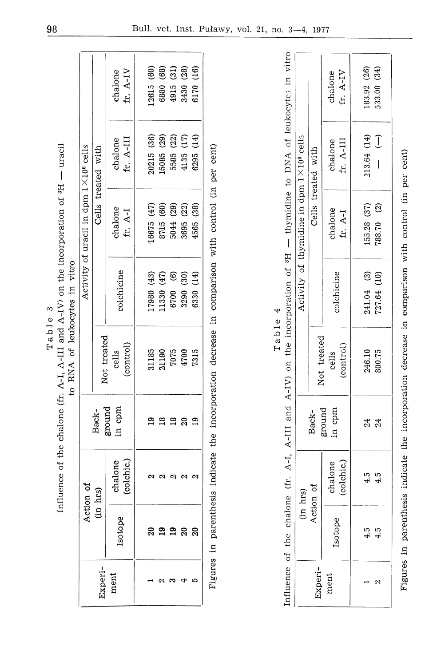|         | -oration of 3H - uraco                                              |                               |
|---------|---------------------------------------------------------------------|-------------------------------|
|         |                                                                     |                               |
|         |                                                                     |                               |
| Table 3 | Influence of the chalone (fr. A-I, A-III and A-IV) on the incorpore | to RNA of leukocytes in vitro |

|                 | Act          | ion of                |                  |                                        |                        | Activity of uracil in dpm $1 \times 10^6$ cells |                          |                                                                     |
|-----------------|--------------|-----------------------|------------------|----------------------------------------|------------------------|-------------------------------------------------|--------------------------|---------------------------------------------------------------------|
|                 | $\mathbf{g}$ | hrs)                  | Back-            | Not treated                            |                        |                                                 | Cells treated with       |                                                                     |
| Experi-<br>ment |              | chalone<br>(colchic.) | ground<br>in cpm | cells<br>(control)                     | colchicine             | chalone<br>fr. A-I                              | fr. A-III<br>chalone     | chalone<br>fr. A-IV                                                 |
|                 |              |                       |                  |                                        |                        |                                                 |                          |                                                                     |
|                 |              |                       | ⊵                |                                        | .7980(43)              | 16675 (47)                                      |                          | .2615(60)                                                           |
|                 |              |                       | ≌                |                                        | (47)<br>1330           | $\widehat{\mathfrak{g}}$                        | 20215 (36)<br>15085 (29) |                                                                     |
|                 |              |                       | $\frac{8}{1}$    |                                        | $\circledcirc$<br>6700 | (29)<br>8715<br>5044                            | (22)<br>5585<br>4135     | $\begin{array}{c} (68) \\ (31) \end{array}$<br>6880<br>4915<br>3430 |
|                 | នុ ១ ១ ន ន   |                       | ສ                | 31185<br>21190<br>7075<br>4700<br>4700 | (30)<br>3290           | (22)<br>3695                                    | (17)                     | $\left( 28\right)$                                                  |
|                 |              |                       | $\overline{19}$  |                                        | (14)<br>6330           | (38)<br>4565                                    | (14)<br>6295             | (16)<br>6170                                                        |
|                 |              |                       |                  |                                        |                        |                                                 |                          |                                                                     |

Figures in parenthesis indicate the incorporation decrease in comparison with control (in per cent) Figures in parenthesis indicate the incorporation decrease in comparison with control (in per cent)

|                                                                                                                               |                                                    |                    | fr. A-IV<br>chalone   | 83.92 (26)  | 533.00 (34) |
|-------------------------------------------------------------------------------------------------------------------------------|----------------------------------------------------|--------------------|-----------------------|-------------|-------------|
|                                                                                                                               |                                                    | Cells treated with | fr. A-III<br>chalone  | 213.64 (14) | J           |
|                                                                                                                               | Activity of thymidine in dpm $1 \times 10^6$ cells |                    | chalone<br>fr. A-I    | 155.28(37)  | 788.70 (2)  |
|                                                                                                                               |                                                    |                    | colchicine            | 241.04 (3)  | 727.64 (10) |
| nfluence of the chalone (fr. A-I, A-III and A-IV) on the incorporation of $^{3}H$ $-$ thymidine to DNA of leukocytes in vitro |                                                    | Not treated        | (control)<br>cells    | 246.10      | 300.75      |
|                                                                                                                               |                                                    | Back-              | ground<br>in cpm      | $^{24}$     | $^{24}$     |
|                                                                                                                               | n hrs)                                             | ction of           | (colchic.)<br>chalone | 45          |             |
|                                                                                                                               |                                                    |                    | sotope                |             |             |
|                                                                                                                               |                                                    | Experi-            | ment                  |             |             |

i.

Figures in parenthesis indicate the incorporation decrease in ,comparison with control (in per cent)

Figures in parenthesis indicate the incorporation decrease in comparison with control (in per cent)

Table 4

Table

4

Bull. vet. Inst. Puławy, vol. 21, no. 3—4, 1977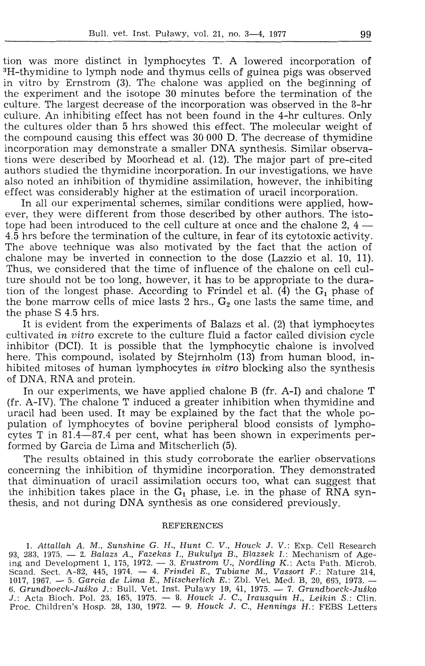tion was more distinct in lymphocytes T. A lowered incorporation of <sup>3</sup>H-thymidine to lymph node and thymus cells of guinea pigs was observed in vitro by Ernstrom (3). The chalone was applied on the beginning of the experiment and the isotope 30 minutes before the termination of the culture. The largest decrease of the incorporation was observed in the 8-hr culture. An inhibiting effect has not been found in the 4-hr cultures. Only the cultures older than 5 hrs showed this effect. The molecular weight of the compound causing this effect was 30 OOO D. The decrease of thymidine incorporation may demonstrate a smaller DNA synthesis. Similar observations were described by Moorhead et al. (12). The major part of pre-cited authors studied the thymidine incorporation. In our investigations, we have also noted an inhibition of thymidine assimilation, however, the inhibiting effect was considerably higher at the estimation of uracil incorporation.

In all our experimental schemes, similar conditions were applied, however, they were different from those described by other authors. The istotope had been introduced to the cell culture at once and the chalone 2,  $4 -$ 4.5 hrs before the termination of the culture, in fear of its cytotoxic activity. The above technique was also motivated by the fact that the action of chalone may be inverted in connection to the dose (Lazzio et al. 10, 11). Thus, we considered that the time of influence of the chalone on cell culture should not be too long, however, it has to be appropriate to the duration of the longest phase. According to Frindel et al.  $(\hat{4})$  the  $G_1$  phase of the bone marrow cells of mice lasts  $\frac{3}{2}$  hrs.,  $\mathbf{G}_2$  one lasts the same time, and the phase S 4.5 hrs.

It is evident from the experiments of Balazs et al. (2) that lymphocytes cultivated *in vitro* excrete to the culture fluid a factor called division cycle inhibitor (DCI). It is possible that the lymphocytic chalone is involved here. This compound, isolated by Stejrnholm (13) from human blood, inhibited mitoses of human lymphocytes *in vitro* blocking also the synthesis of DNA, RNA and protein.

In our experiments, we have applied chalone B (fr. A-I) and chalone T (fr. A-IV). The chalone T induced a greater inhibition when thymidine and uracil had been used. It may be explained by the fact that the whole population of lymphocytes of bovine peripheral blood consists of lymphocytes T in 81.4-87.4 per cent, what has been shown in experiments performed by Garcia de Lima and Mitscherlich (5).

The results obtained in this study corroborate the earlier observations concerning the inhibition of thymidine incorporation. They demonstrated that diminuation of uracil assimilation occurs too, what can suggest that the inhibition takes place in the  $G_1$  phase, i.e. in the phase of  $\widetilde{RNA}$  synthesis, and not during DNA synthesis as one considered previously.

### **REFERENCES**

1. Attallah A. M., Sunshine G. H., Hunt C. V., Houck J. V.: Exp. Cell Research 93, 283, 1975. - 2. Balazs A., Fazekas I., Bukulya B., Blazsek I.: Mechanism of Ageing and Development 1, 175, 1972.  $-$  3. Erustrom U., Nordling K.: Acta Path. Microb. Scand. Sect. A-82, 445, 1974.  $-4$ . Frindel E., Tubiane M., Vassort F.: Nature 214, 1017, 1967. — 5. Garcia de Lima E., Mitscherlich E.: Zbl. Vet. Med. B, 20, 665, 1973. -6. Grundboeck-Juśko J.: Bull. Vet. Inst. Puławy 19, 41, 1975. — 7. Grundboeck-Juśko J.: Acta Bioch. Pol. 23, 165, 1975. - 8. Houck J. C., Irausquin H., Leikin S.: Clin. Proc. Children's Hosp. 28, 130, 1972.  $-$  9. Houck J. C., Hennings H.: FEBS Letters